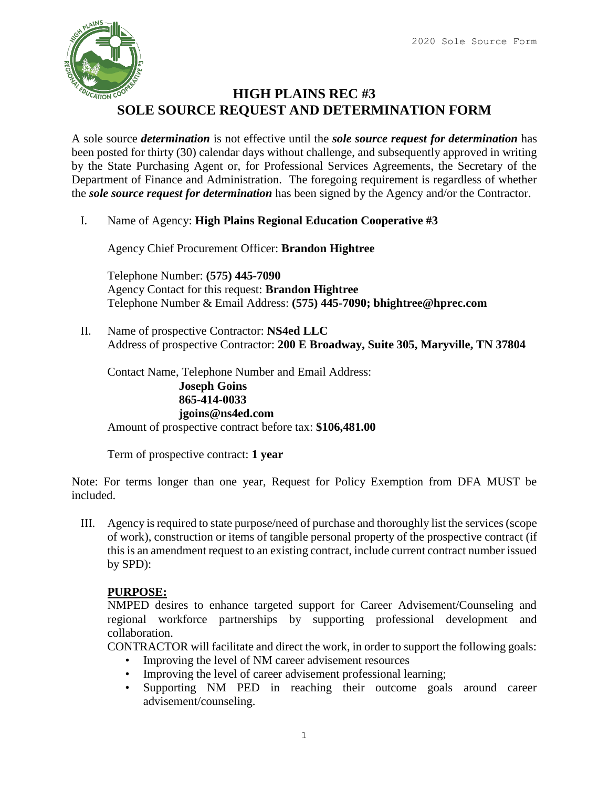

### **HIGH PLAINS REC #3 SOLE SOURCE REQUEST AND DETERMINATION FORM**

A sole source *determination* is not effective until the *sole source request for determination* has been posted for thirty (30) calendar days without challenge, and subsequently approved in writing by the State Purchasing Agent or, for Professional Services Agreements, the Secretary of the Department of Finance and Administration. The foregoing requirement is regardless of whether the *sole source request for determination* has been signed by the Agency and/or the Contractor.

I. Name of Agency: **High Plains Regional Education Cooperative #3**

Agency Chief Procurement Officer: **Brandon Hightree**

Telephone Number: **(575) 445-7090** Agency Contact for this request: **Brandon Hightree** Telephone Number & Email Address: **(575) 445-7090; bhightree@hprec.com**

II. Name of prospective Contractor: **NS4ed LLC** Address of prospective Contractor: **200 E Broadway, Suite 305, Maryville, TN 37804**

Contact Name, Telephone Number and Email Address: **Joseph Goins 865-414-0033 jgoins@ns4ed.com** Amount of prospective contract before tax: **\$106,481.00**

Term of prospective contract: **1 year**

Note: For terms longer than one year, Request for Policy Exemption from DFA MUST be included.

III. Agency is required to state purpose/need of purchase and thoroughly list the services (scope of work), construction or items of tangible personal property of the prospective contract (if this is an amendment request to an existing contract, include current contract number issued by SPD):

#### **PURPOSE:**

NMPED desires to enhance targeted support for Career Advisement/Counseling and regional workforce partnerships by supporting professional development and collaboration.

CONTRACTOR will facilitate and direct the work, in order to support the following goals:

- Improving the level of NM career advisement resources
- Improving the level of career advisement professional learning;
- Supporting NM PED in reaching their outcome goals around career advisement/counseling.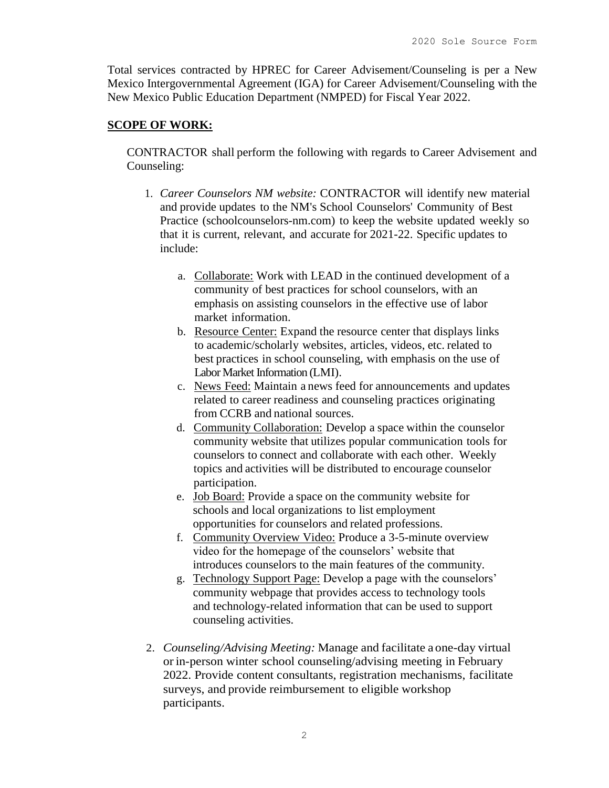Total services contracted by HPREC for Career Advisement/Counseling is per a New Mexico Intergovernmental Agreement (IGA) for Career Advisement/Counseling with the New Mexico Public Education Department (NMPED) for Fiscal Year 2022.

#### **SCOPE OF WORK:**

CONTRACTOR shall perform the following with regards to Career Advisement and Counseling:

- 1. *Career Counselors NM website:* CONTRACTOR will identify new material and provide updates to the NM's School Counselors' Community of Best Practice (schoolcounselors-nm.com) to keep the website updated weekly so that it is current, relevant, and accurate for 2021-22. Specific updates to include:
	- a. Collaborate: Work with LEAD in the continued development of a community of best practices for school counselors, with an emphasis on assisting counselors in the effective use of labor market information.
	- b. Resource Center: Expand the resource center that displays links to academic/scholarly websites, articles, videos, etc. related to best practices in school counseling, with emphasis on the use of Labor Market Information (LMI).
	- c. News Feed: Maintain a news feed for announcements and updates related to career readiness and counseling practices originating from CCRB and national sources.
	- d. Community Collaboration: Develop a space within the counselor community website that utilizes popular communication tools for counselors to connect and collaborate with each other. Weekly topics and activities will be distributed to encourage counselor participation.
	- e. Job Board: Provide a space on the community website for schools and local organizations to list employment opportunities for counselors and related professions.
	- f. Community Overview Video: Produce a 3-5-minute overview video for the homepage of the counselors' website that introduces counselors to the main features of the community.
	- g. Technology Support Page: Develop a page with the counselors' community webpage that provides access to technology tools and technology-related information that can be used to support counseling activities.
- 2. *Counseling/Advising Meeting:* Manage and facilitate a one-day virtual or in-person winter school counseling/advising meeting in February 2022. Provide content consultants, registration mechanisms, facilitate surveys, and provide reimbursement to eligible workshop participants.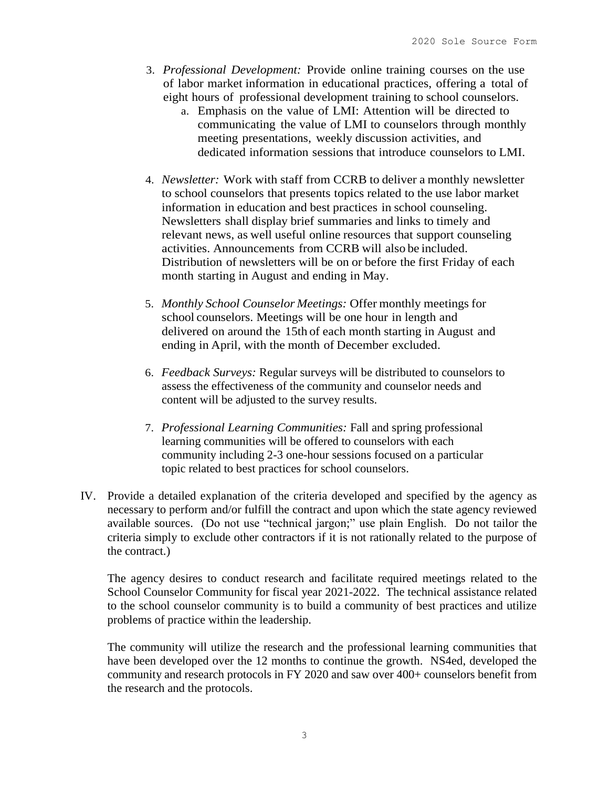- 3. *Professional Development:* Provide online training courses on the use of labor market information in educational practices, offering a total of eight hours of professional development training to school counselors.
	- a. Emphasis on the value of LMI: Attention will be directed to communicating the value of LMI to counselors through monthly meeting presentations, weekly discussion activities, and dedicated information sessions that introduce counselors to LMI.
- 4. *Newsletter:* Work with staff from CCRB to deliver a monthly newsletter to school counselors that presents topics related to the use labor market information in education and best practices in school counseling. Newsletters shall display brief summaries and links to timely and relevant news, as well useful online resources that support counseling activities. Announcements from CCRB will also be included. Distribution of newsletters will be on or before the first Friday of each month starting in August and ending in May.
- 5. *Monthly School Counselor Meetings:* Offer monthly meetings for school counselors. Meetings will be one hour in length and delivered on around the 15th of each month starting in August and ending in April, with the month of December excluded.
- 6. *Feedback Surveys:* Regular surveys will be distributed to counselors to assess the effectiveness of the community and counselor needs and content will be adjusted to the survey results.
- 7. *Professional Learning Communities:* Fall and spring professional learning communities will be offered to counselors with each community including 2-3 one-hour sessions focused on a particular topic related to best practices for school counselors.
- IV. Provide a detailed explanation of the criteria developed and specified by the agency as necessary to perform and/or fulfill the contract and upon which the state agency reviewed available sources. (Do not use "technical jargon;" use plain English. Do not tailor the criteria simply to exclude other contractors if it is not rationally related to the purpose of the contract.)

The agency desires to conduct research and facilitate required meetings related to the School Counselor Community for fiscal year 2021-2022. The technical assistance related to the school counselor community is to build a community of best practices and utilize problems of practice within the leadership.

The community will utilize the research and the professional learning communities that have been developed over the 12 months to continue the growth. NS4ed, developed the community and research protocols in FY 2020 and saw over 400+ counselors benefit from the research and the protocols.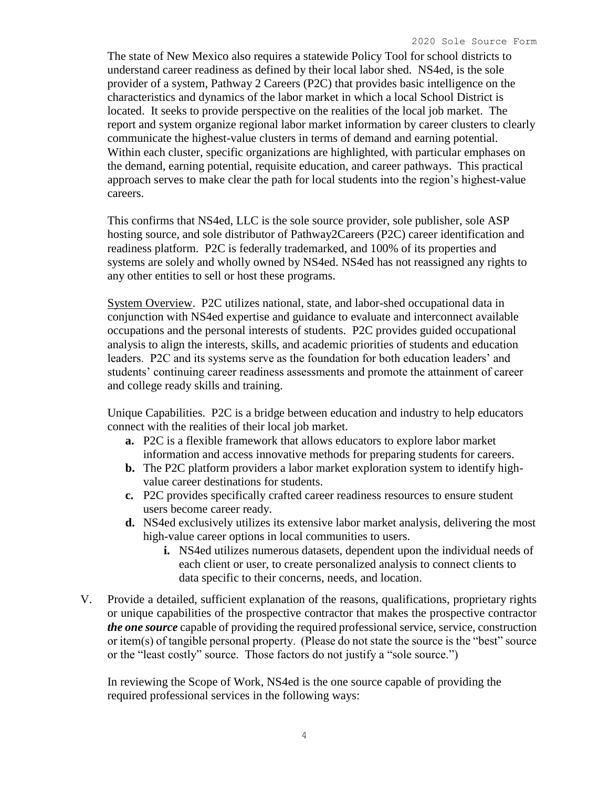The state of New Mexico also requires a statewide Policy Tool for school districts to understand career readiness as defined by their local labor shed. NS4ed, is the sole provider of a system, Pathway 2 Careers (P2C) that provides basic intelligence on the characteristics and dynamics of the labor market in which a local School District is located. It seeks to provide perspective on the realities of the local job market. The report and system organize regional labor market information by career clusters to clearly communicate the highest-value clusters in terms of demand and earning potential. Within each cluster, specific organizations are highlighted, with particular emphases on the demand, earning potential, requisite education, and career pathways. This practical approach serves to make clear the path for local students into the region's highest-value careers.

This confirms that NS4ed, LLC is the sole source provider, sole publisher, sole ASP hosting source, and sole distributor of Pathway2Careers (P2C) career identification and readiness platform. P2C is federally trademarked, and 100% of its properties and systems are solely and wholly owned by NS4ed. NS4ed has not reassigned any rights to any other entities to sell or host these programs.

System Overview. P2C utilizes national, state, and labor-shed occupational data in conjunction with NS4ed expertise and guidance to evaluate and interconnect available occupations and the personal interests of students. P2C provides guided occupational analysis to align the interests, skills, and academic priorities of students and education leaders. P2C and its systems serve as the foundation for both education leaders' and students' continuing career readiness assessments and promote the attainment of career and college ready skills and training.

Unique Capabilities. P2C is a bridge between education and industry to help educators connect with the realities of their local job market.

- **a.** P2C is a flexible framework that allows educators to explore labor market information and access innovative methods for preparing students for careers.
- **b.** The P2C platform providers a labor market exploration system to identify highvalue career destinations for students.
- **c.** P2C provides specifically crafted career readiness resources to ensure student users become career ready.
- **d.** NS4ed exclusively utilizes its extensive labor market analysis, delivering the most high-value career options in local communities to users.
	- **i.** NS4ed utilizes numerous datasets, dependent upon the individual needs of each client or user, to create personalized analysis to connect clients to data specific to their concerns, needs, and location.
- V. Provide a detailed, sufficient explanation of the reasons, qualifications, proprietary rights or unique capabilities of the prospective contractor that makes the prospective contractor *the one source* capable of providing the required professional service, service, construction or item(s) of tangible personal property. (Please do not state the source is the "best" source or the "least costly" source. Those factors do not justify a "sole source.")

In reviewing the Scope of Work, NS4ed is the one source capable of providing the required professional services in the following ways: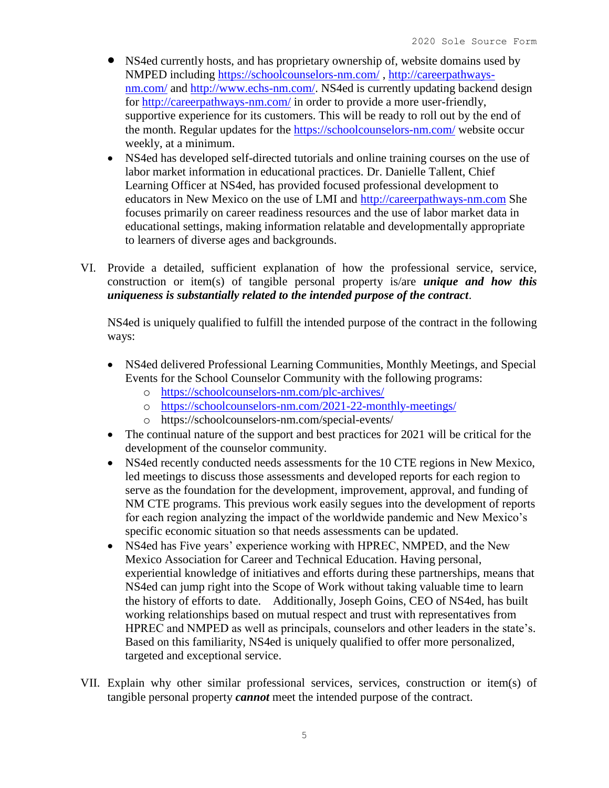- NS4ed currently hosts, and has proprietary ownership of, website domains used by NMPED including<https://schoolcounselors-nm.com/> , [http://careerpathways](http://careerpathways-nm.com/)[nm.com/](http://careerpathways-nm.com/) and [http://www.echs-nm.com/.](http://www.echs-nm.com/) NS4ed is currently updating backend design for<http://careerpathways-nm.com/> in order to provide a more user-friendly, supportive experience for its customers. This will be ready to roll out by the end of the month. Regular updates for the<https://schoolcounselors-nm.com/> website occur weekly, at a minimum.
- NS4ed has developed self-directed tutorials and online training courses on the use of labor market information in educational practices. Dr. Danielle Tallent, Chief Learning Officer at NS4ed, has provided focused professional development to educators in New Mexico on the use of LMI and [http://careerpathways-nm.com](http://careerpathways-nm.com/) She focuses primarily on career readiness resources and the use of labor market data in educational settings, making information relatable and developmentally appropriate to learners of diverse ages and backgrounds.
- VI. Provide a detailed, sufficient explanation of how the professional service, service, construction or item(s) of tangible personal property is/are *unique and how this uniqueness is substantially related to the intended purpose of the contract*.

NS4ed is uniquely qualified to fulfill the intended purpose of the contract in the following ways:

- NS4ed delivered Professional Learning Communities, Monthly Meetings, and Special Events for the School Counselor Community with the following programs:
	- o <https://schoolcounselors-nm.com/plc-archives/>
	- o <https://schoolcounselors-nm.com/2021-22-monthly-meetings/>
	- o https://schoolcounselors-nm.com/special-events/
- The continual nature of the support and best practices for 2021 will be critical for the development of the counselor community.
- NS4ed recently conducted needs assessments for the 10 CTE regions in New Mexico, led meetings to discuss those assessments and developed reports for each region to serve as the foundation for the development, improvement, approval, and funding of NM CTE programs. This previous work easily segues into the development of reports for each region analyzing the impact of the worldwide pandemic and New Mexico's specific economic situation so that needs assessments can be updated.
- NS4ed has Five years' experience working with HPREC, NMPED, and the New Mexico Association for Career and Technical Education. Having personal, experiential knowledge of initiatives and efforts during these partnerships, means that NS4ed can jump right into the Scope of Work without taking valuable time to learn the history of efforts to date. Additionally, Joseph Goins, CEO of NS4ed, has built working relationships based on mutual respect and trust with representatives from HPREC and NMPED as well as principals, counselors and other leaders in the state's. Based on this familiarity, NS4ed is uniquely qualified to offer more personalized, targeted and exceptional service.
- VII. Explain why other similar professional services, services, construction or item(s) of tangible personal property *cannot* meet the intended purpose of the contract.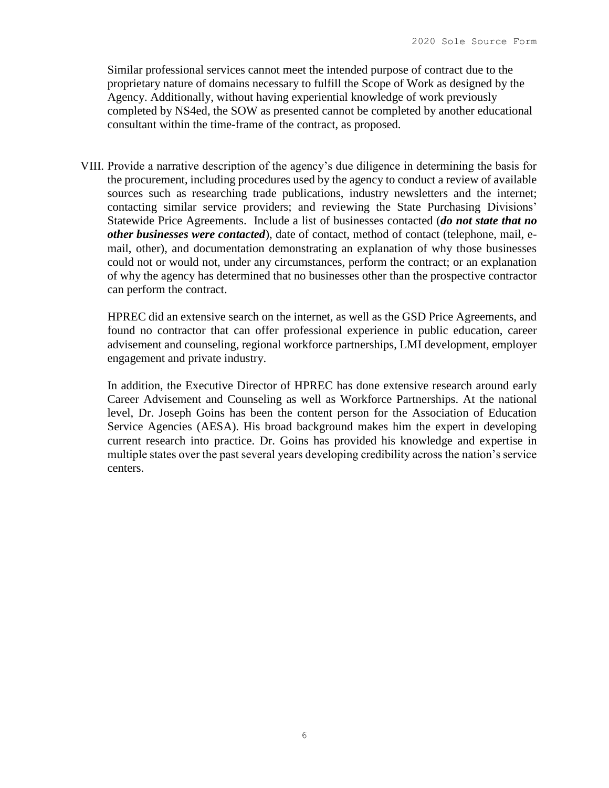Similar professional services cannot meet the intended purpose of contract due to the proprietary nature of domains necessary to fulfill the Scope of Work as designed by the Agency. Additionally, without having experiential knowledge of work previously completed by NS4ed, the SOW as presented cannot be completed by another educational consultant within the time-frame of the contract, as proposed.

VIII. Provide a narrative description of the agency's due diligence in determining the basis for the procurement, including procedures used by the agency to conduct a review of available sources such as researching trade publications, industry newsletters and the internet; contacting similar service providers; and reviewing the State Purchasing Divisions' Statewide Price Agreements. Include a list of businesses contacted (*do not state that no other businesses were contacted*), date of contact, method of contact (telephone, mail, email, other), and documentation demonstrating an explanation of why those businesses could not or would not, under any circumstances, perform the contract; or an explanation of why the agency has determined that no businesses other than the prospective contractor can perform the contract.

HPREC did an extensive search on the internet, as well as the GSD Price Agreements, and found no contractor that can offer professional experience in public education, career advisement and counseling, regional workforce partnerships, LMI development, employer engagement and private industry.

In addition, the Executive Director of HPREC has done extensive research around early Career Advisement and Counseling as well as Workforce Partnerships. At the national level, Dr. Joseph Goins has been the content person for the Association of Education Service Agencies (AESA). His broad background makes him the expert in developing current research into practice. Dr. Goins has provided his knowledge and expertise in multiple states over the past several years developing credibility across the nation's service centers.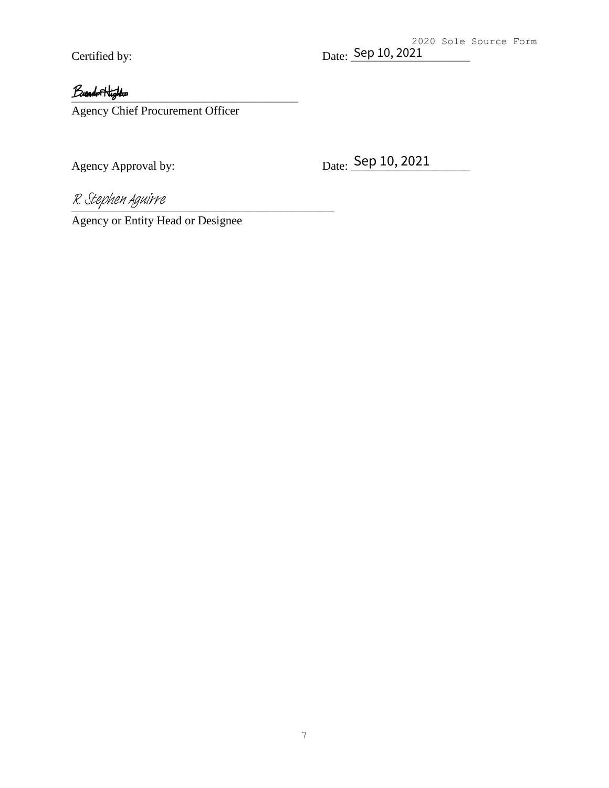### $L$

Agency Chief Procurement Officer

Certified by: Date: <u>Sep 10, 2021</u><br> *Band* Highlar<br>
Agency Chief Procurement Officer<br>
Agency Approval by: Date: Sep 10, 2021

R. Stephen Aguirre

Agency or Entity Head or Designee